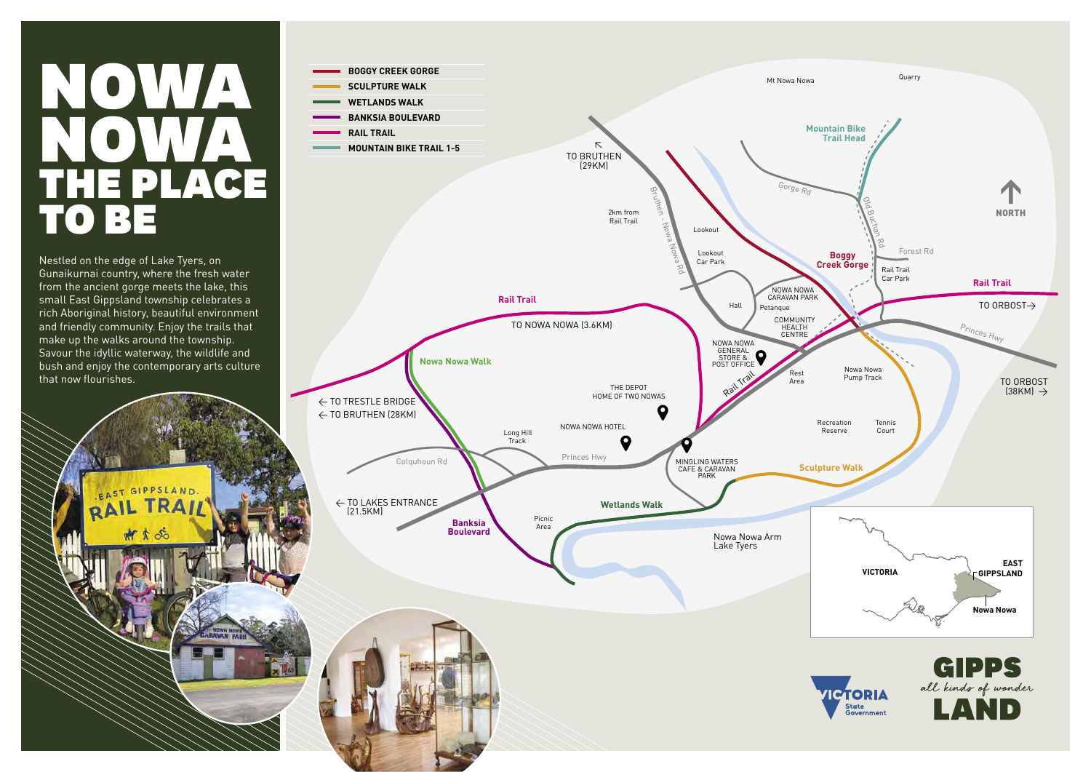Nestled on the edge of Lake Tyers, on Gunaikurnai country, where the fresh water from the ancient gorge meets the lake, this small East Gippsland township celebrates a rich Aboriginal history, beautiful environment and friendly community. Enjoy the trails that make up the walks around the township. Savour the idyllic waterway, the wildlife and bush and enjoy the contemporary arts culture that now flourishes.

AST GIPPSLAND

## $\blacksquare$ NOWA THE PLACE TO BE